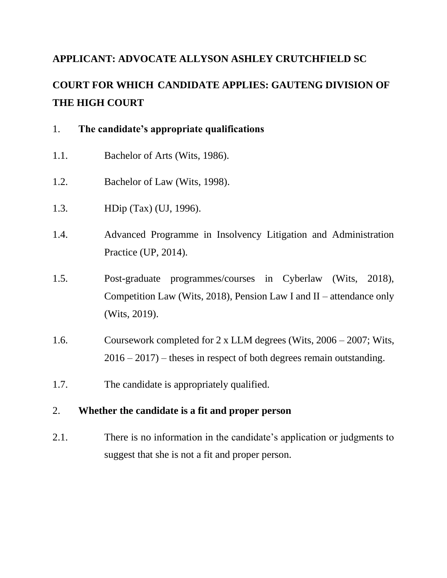## **APPLICANT: ADVOCATE ALLYSON ASHLEY CRUTCHFIELD SC**

# **COURT FOR WHICH CANDIDATE APPLIES: GAUTENG DIVISION OF THE HIGH COURT**

|  | The candidate's appropriate qualifications |  |  |
|--|--------------------------------------------|--|--|
|--|--------------------------------------------|--|--|

- 1.1. Bachelor of Arts (Wits, 1986).
- 1.2. Bachelor of Law (Wits, 1998).
- 1.3. HDip (Tax) (UJ, 1996).
- 1.4. Advanced Programme in Insolvency Litigation and Administration Practice (UP, 2014).
- 1.5. Post-graduate programmes/courses in Cyberlaw (Wits, 2018), Competition Law (Wits, 2018), Pension Law I and II – attendance only (Wits, 2019).
- 1.6. Coursework completed for 2 x LLM degrees (Wits, 2006 2007; Wits,  $2016 - 2017$  – theses in respect of both degrees remain outstanding.
- 1.7. The candidate is appropriately qualified.

### 2. **Whether the candidate is a fit and proper person**

2.1. There is no information in the candidate's application or judgments to suggest that she is not a fit and proper person.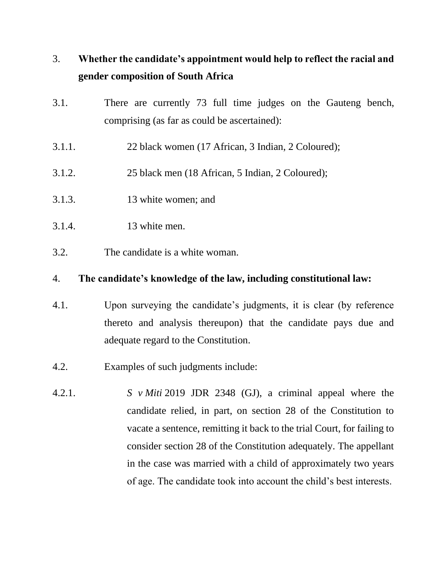# 3. **Whether the candidate's appointment would help to reflect the racial and gender composition of South Africa**

- 3.1. There are currently 73 full time judges on the Gauteng bench, comprising (as far as could be ascertained):
- 3.1.1. 22 black women (17 African, 3 Indian, 2 Coloured);
- 3.1.2. 25 black men (18 African, 5 Indian, 2 Coloured);
- 3.1.3. 13 white women; and
- 3.1.4. 13 white men.
- 3.2. The candidate is a white woman.

#### 4. **The candidate's knowledge of the law, including constitutional law:**

- 4.1. Upon surveying the candidate's judgments, it is clear (by reference thereto and analysis thereupon) that the candidate pays due and adequate regard to the Constitution.
- 4.2. Examples of such judgments include:
- 4.2.1. *S v Miti* 2019 JDR 2348 (GJ), a criminal appeal where the candidate relied, in part, on section 28 of the Constitution to vacate a sentence, remitting it back to the trial Court, for failing to consider section 28 of the Constitution adequately. The appellant in the case was married with a child of approximately two years of age. The candidate took into account the child's best interests.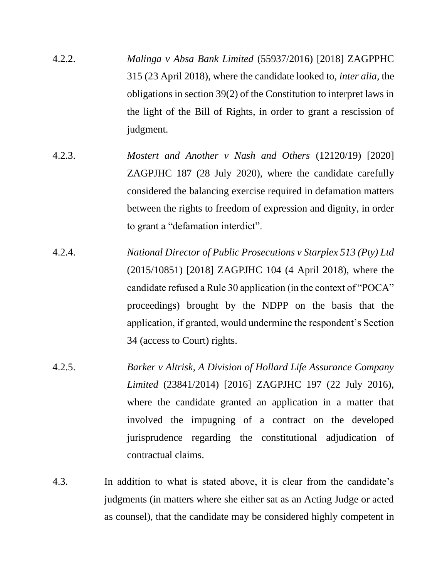- 4.2.2. *Malinga v Absa Bank Limited* (55937/2016) [2018] ZAGPPHC 315 (23 April 2018), where the candidate looked to, *inter alia,* the obligations in section 39(2) of the Constitution to interpret laws in the light of the Bill of Rights, in order to grant a rescission of judgment.
- 4.2.3. *Mostert and Another v Nash and Others* (12120/19) [2020] ZAGPJHC 187 (28 July 2020), where the candidate carefully considered the balancing exercise required in defamation matters between the rights to freedom of expression and dignity, in order to grant a "defamation interdict".
- 4.2.4. *National Director of Public Prosecutions v Starplex 513 (Pty) Ltd* (2015/10851) [2018] ZAGPJHC 104 (4 April 2018), where the candidate refused a Rule 30 application (in the context of "POCA" proceedings) brought by the NDPP on the basis that the application, if granted, would undermine the respondent's Section 34 (access to Court) rights.
- 4.2.5. *Barker v Altrisk, A Division of Hollard Life Assurance Company Limited* (23841/2014) [2016] ZAGPJHC 197 (22 July 2016), where the candidate granted an application in a matter that involved the impugning of a contract on the developed jurisprudence regarding the constitutional adjudication of contractual claims.
- 4.3. In addition to what is stated above, it is clear from the candidate's judgments (in matters where she either sat as an Acting Judge or acted as counsel), that the candidate may be considered highly competent in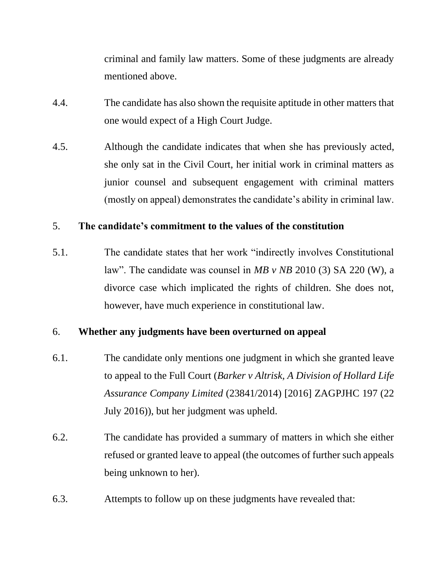criminal and family law matters. Some of these judgments are already mentioned above.

- 4.4. The candidate has also shown the requisite aptitude in other matters that one would expect of a High Court Judge.
- 4.5. Although the candidate indicates that when she has previously acted, she only sat in the Civil Court, her initial work in criminal matters as junior counsel and subsequent engagement with criminal matters (mostly on appeal) demonstrates the candidate's ability in criminal law.

### 5. **The candidate's commitment to the values of the constitution**

5.1. The candidate states that her work "indirectly involves Constitutional law". The candidate was counsel in *MB v NB* 2010 (3) SA 220 (W), a divorce case which implicated the rights of children. She does not, however, have much experience in constitutional law.

## 6. **Whether any judgments have been overturned on appeal**

- 6.1. The candidate only mentions one judgment in which she granted leave to appeal to the Full Court (*Barker v Altrisk, A Division of Hollard Life Assurance Company Limited* (23841/2014) [2016] ZAGPJHC 197 (22 July 2016)), but her judgment was upheld.
- 6.2. The candidate has provided a summary of matters in which she either refused or granted leave to appeal (the outcomes of further such appeals being unknown to her).
- 6.3. Attempts to follow up on these judgments have revealed that: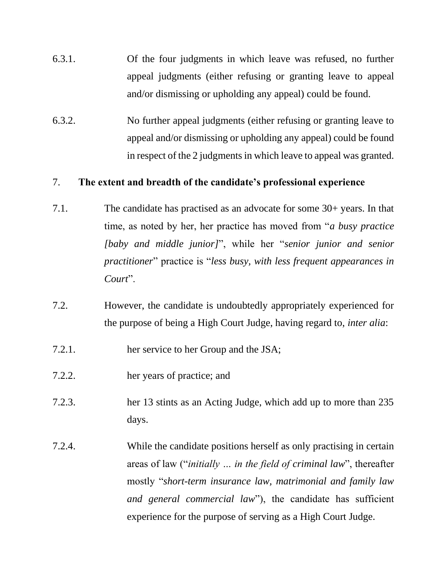- 6.3.1. Of the four judgments in which leave was refused, no further appeal judgments (either refusing or granting leave to appeal and/or dismissing or upholding any appeal) could be found.
- 6.3.2. No further appeal judgments (either refusing or granting leave to appeal and/or dismissing or upholding any appeal) could be found in respect of the 2 judgments in which leave to appeal was granted.

#### 7. **The extent and breadth of the candidate's professional experience**

- 7.1. The candidate has practised as an advocate for some 30+ years. In that time, as noted by her, her practice has moved from "*a busy practice [baby and middle junior]*", while her "*senior junior and senior practitioner*" practice is "*less busy, with less frequent appearances in Court*".
- 7.2. However, the candidate is undoubtedly appropriately experienced for the purpose of being a High Court Judge, having regard to, *inter alia*:
- 7.2.1. her service to her Group and the JSA;
- 7.2.2. her years of practice; and
- 7.2.3. her 13 stints as an Acting Judge, which add up to more than 235 days.
- 7.2.4. While the candidate positions herself as only practising in certain areas of law ("*initially … in the field of criminal law*", thereafter mostly "*short-term insurance law, matrimonial and family law and general commercial law*"), the candidate has sufficient experience for the purpose of serving as a High Court Judge.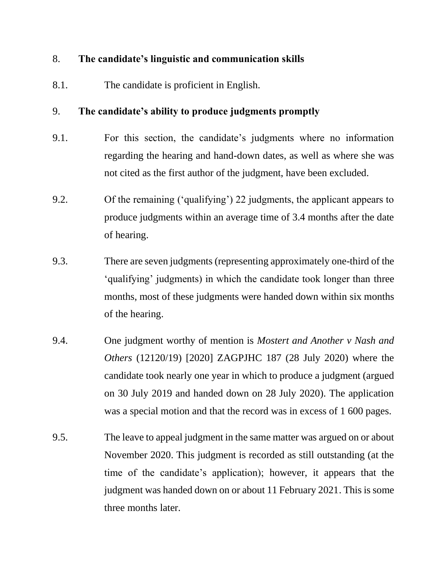### 8. **The candidate's linguistic and communication skills**

8.1. The candidate is proficient in English.

## 9. **The candidate's ability to produce judgments promptly**

- 9.1. For this section, the candidate's judgments where no information regarding the hearing and hand-down dates, as well as where she was not cited as the first author of the judgment, have been excluded.
- 9.2. Of the remaining ('qualifying') 22 judgments, the applicant appears to produce judgments within an average time of 3.4 months after the date of hearing.
- 9.3. There are seven judgments (representing approximately one-third of the 'qualifying' judgments) in which the candidate took longer than three months, most of these judgments were handed down within six months of the hearing.
- 9.4. One judgment worthy of mention is *Mostert and Another v Nash and Others* (12120/19) [2020] ZAGPJHC 187 (28 July 2020) where the candidate took nearly one year in which to produce a judgment (argued on 30 July 2019 and handed down on 28 July 2020). The application was a special motion and that the record was in excess of 1 600 pages.
- 9.5. The leave to appeal judgment in the same matter was argued on or about November 2020. This judgment is recorded as still outstanding (at the time of the candidate's application); however, it appears that the judgment was handed down on or about 11 February 2021. This is some three months later.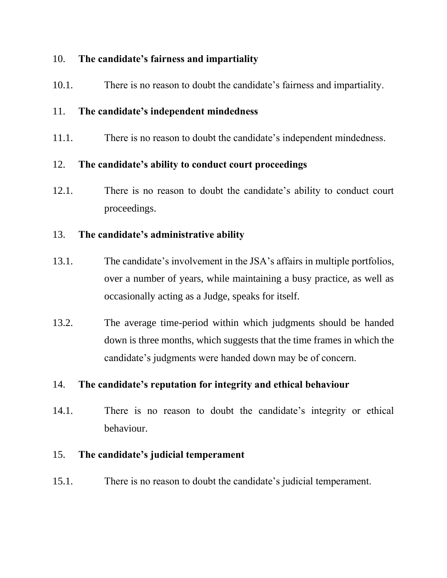### 10. **The candidate's fairness and impartiality**

10.1. There is no reason to doubt the candidate's fairness and impartiality.

## 11. **The candidate's independent mindedness**

11.1. There is no reason to doubt the candidate's independent mindedness.

## 12. **The candidate's ability to conduct court proceedings**

12.1. There is no reason to doubt the candidate's ability to conduct court proceedings.

## 13. **The candidate's administrative ability**

- 13.1. The candidate's involvement in the JSA's affairs in multiple portfolios, over a number of years, while maintaining a busy practice, as well as occasionally acting as a Judge, speaks for itself.
- 13.2. The average time-period within which judgments should be handed down is three months, which suggests that the time frames in which the candidate's judgments were handed down may be of concern.

## 14. **The candidate's reputation for integrity and ethical behaviour**

14.1. There is no reason to doubt the candidate's integrity or ethical behaviour.

## 15. **The candidate's judicial temperament**

15.1. There is no reason to doubt the candidate's judicial temperament.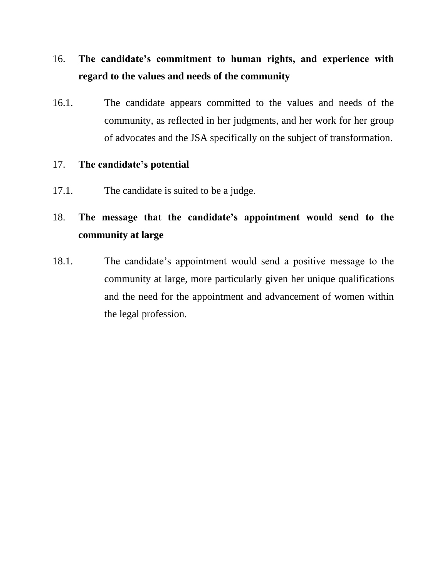# 16. **The candidate's commitment to human rights, and experience with regard to the values and needs of the community**

16.1. The candidate appears committed to the values and needs of the community, as reflected in her judgments, and her work for her group of advocates and the JSA specifically on the subject of transformation.

### 17. **The candidate's potential**

17.1. The candidate is suited to be a judge.

# 18. **The message that the candidate's appointment would send to the community at large**

18.1. The candidate's appointment would send a positive message to the community at large, more particularly given her unique qualifications and the need for the appointment and advancement of women within the legal profession.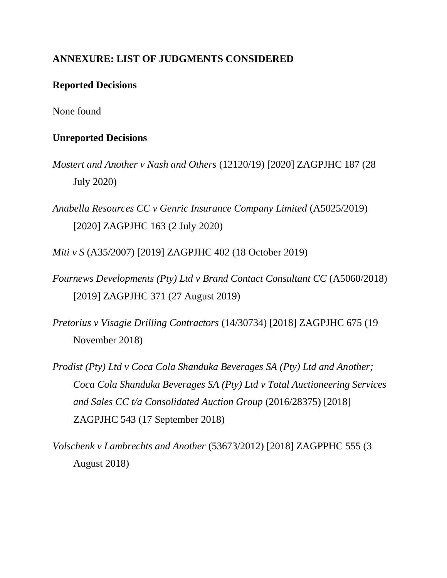## **ANNEXURE: LIST OF JUDGMENTS CONSIDERED**

### **Reported Decisions**

None found

#### **Unreported Decisions**

- *Mostert and Another v Nash and Others* (12120/19) [2020] ZAGPJHC 187 (28 July 2020)
- *Anabella Resources CC v Genric Insurance Company Limited* (A5025/2019) [2020] ZAGPJHC 163 (2 July 2020)

*Miti v S* (A35/2007) [2019] ZAGPJHC 402 (18 October 2019)

- *Fournews Developments (Pty) Ltd v Brand Contact Consultant CC* (A5060/2018) [2019] ZAGPJHC 371 (27 August 2019)
- *Pretorius v Visagie Drilling Contractors* (14/30734) [2018] ZAGPJHC 675 (19 November 2018)
- *Prodist (Pty) Ltd v Coca Cola Shanduka Beverages SA (Pty) Ltd and Another; Coca Cola Shanduka Beverages SA (Pty) Ltd v Total Auctioneering Services and Sales CC t/a Consolidated Auction Group* (2016/28375) [2018] ZAGPJHC 543 (17 September 2018)
- *Volschenk v Lambrechts and Another* (53673/2012) [2018] ZAGPPHC 555 (3 August 2018)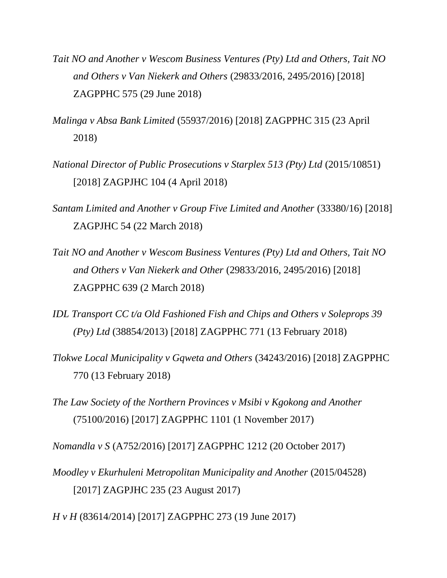- *Tait NO and Another v Wescom Business Ventures (Pty) Ltd and Others, Tait NO and Others v Van Niekerk and Others* (29833/2016, 2495/2016) [2018] ZAGPPHC 575 (29 June 2018)
- *Malinga v Absa Bank Limited* (55937/2016) [2018] ZAGPPHC 315 (23 April 2018)
- *National Director of Public Prosecutions v Starplex 513 (Pty) Ltd* (2015/10851) [2018] ZAGPJHC 104 (4 April 2018)
- *Santam Limited and Another v Group Five Limited and Another* (33380/16) [2018] ZAGPJHC 54 (22 March 2018)
- *Tait NO and Another v Wescom Business Ventures (Pty) Ltd and Others, Tait NO and Others v Van Niekerk and Other* (29833/2016, 2495/2016) [2018] ZAGPPHC 639 (2 March 2018)
- *IDL Transport CC t/a Old Fashioned Fish and Chips and Others v Soleprops 39 (Pty) Ltd* (38854/2013) [2018] ZAGPPHC 771 (13 February 2018)
- *Tlokwe Local Municipality v Gqweta and Others* (34243/2016) [2018] ZAGPPHC 770 (13 February 2018)
- *The Law Society of the Northern Provinces v Msibi v Kgokong and Another*  (75100/2016) [2017] ZAGPPHC 1101 (1 November 2017)

*Nomandla v S* (A752/2016) [2017] ZAGPPHC 1212 (20 October 2017)

- *Moodley v Ekurhuleni Metropolitan Municipality and Another (2015/04528)* [2017] ZAGPJHC 235 (23 August 2017)
- *H v H* (83614/2014) [2017] ZAGPPHC 273 (19 June 2017)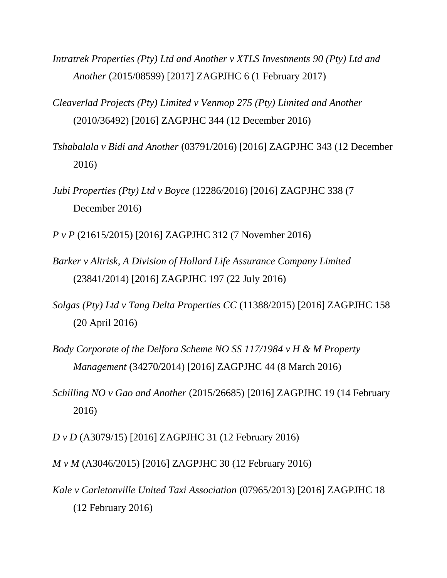- *Intratrek Properties (Pty) Ltd and Another v XTLS Investments 90 (Pty) Ltd and Another* (2015/08599) [2017] ZAGPJHC 6 (1 February 2017)
- *Cleaverlad Projects (Pty) Limited v Venmop 275 (Pty) Limited and Another*  (2010/36492) [2016] ZAGPJHC 344 (12 December 2016)
- *Tshabalala v Bidi and Another* (03791/2016) [2016] ZAGPJHC 343 (12 December 2016)
- *Jubi Properties (Pty) Ltd v Boyce* (12286/2016) [2016] ZAGPJHC 338 (7 December 2016)
- *P v P* (21615/2015) [2016] ZAGPJHC 312 (7 November 2016)
- *Barker v Altrisk, A Division of Hollard Life Assurance Company Limited*  (23841/2014) [2016] ZAGPJHC 197 (22 July 2016)
- *Solgas (Pty) Ltd v Tang Delta Properties CC* (11388/2015) [2016] ZAGPJHC 158 (20 April 2016)
- *Body Corporate of the Delfora Scheme NO SS 117/1984 v H & M Property Management* (34270/2014) [2016] ZAGPJHC 44 (8 March 2016)
- *Schilling NO v Gao and Another* (2015/26685) [2016] ZAGPJHC 19 (14 February 2016)
- *D v D* (A3079/15) [2016] ZAGPJHC 31 (12 February 2016)
- *M v M* (A3046/2015) [2016] ZAGPJHC 30 (12 February 2016)
- *Kale v Carletonville United Taxi Association* (07965/2013) [2016] ZAGPJHC 18 (12 February 2016)